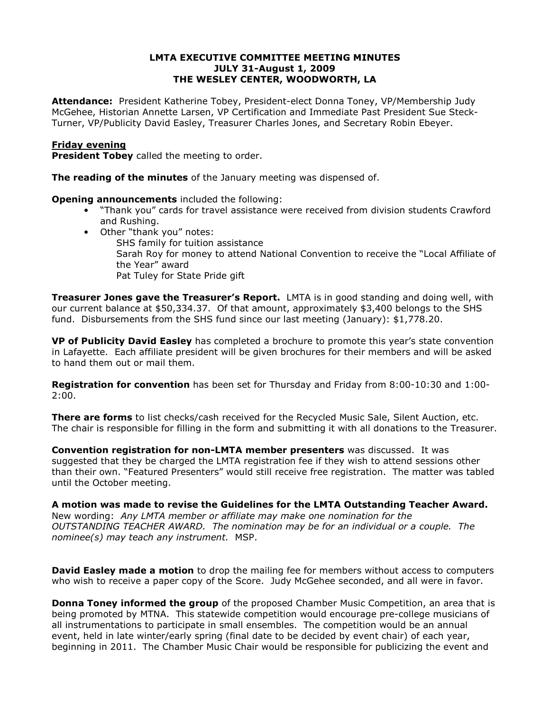## LMTA EXECUTIVE COMMITTEE MEETING MINUTES JULY 31-August 1, 2009 THE WESLEY CENTER, WOODWORTH, LA

Attendance: President Katherine Tobey, President-elect Donna Toney, VP/Membership Judy McGehee, Historian Annette Larsen, VP Certification and Immediate Past President Sue Steck-Turner, VP/Publicity David Easley, Treasurer Charles Jones, and Secretary Robin Ebeyer.

# Friday evening

**President Tobey** called the meeting to order.

The reading of the minutes of the January meeting was dispensed of.

**Opening announcements** included the following:

- "Thank you" cards for travel assistance were received from division students Crawford and Rushing.
- Other "thank you" notes:
	- SHS family for tuition assistance Sarah Roy for money to attend National Convention to receive the "Local Affiliate of the Year" award Pat Tuley for State Pride gift

**Treasurer Jones gave the Treasurer's Report.** LMTA is in good standing and doing well, with our current balance at \$50,334.37. Of that amount, approximately \$3,400 belongs to the SHS fund. Disbursements from the SHS fund since our last meeting (January): \$1,778.20.

VP of Publicity David Easley has completed a brochure to promote this year's state convention in Lafayette. Each affiliate president will be given brochures for their members and will be asked to hand them out or mail them.

Registration for convention has been set for Thursday and Friday from 8:00-10:30 and 1:00- 2:00.

**There are forms** to list checks/cash received for the Recycled Music Sale, Silent Auction, etc. The chair is responsible for filling in the form and submitting it with all donations to the Treasurer.

Convention registration for non-LMTA member presenters was discussed. It was suggested that they be charged the LMTA registration fee if they wish to attend sessions other than their own. "Featured Presenters" would still receive free registration. The matter was tabled until the October meeting.

A motion was made to revise the Guidelines for the LMTA Outstanding Teacher Award. New wording: Any LMTA member or affiliate may make one nomination for the OUTSTANDING TEACHER AWARD. The nomination may be for an individual or a couple. The nominee(s) may teach any instrument. MSP.

**David Easley made a motion** to drop the mailing fee for members without access to computers who wish to receive a paper copy of the Score. Judy McGehee seconded, and all were in favor.

**Donna Toney informed the group** of the proposed Chamber Music Competition, an area that is being promoted by MTNA. This statewide competition would encourage pre-college musicians of all instrumentations to participate in small ensembles. The competition would be an annual event, held in late winter/early spring (final date to be decided by event chair) of each year, beginning in 2011. The Chamber Music Chair would be responsible for publicizing the event and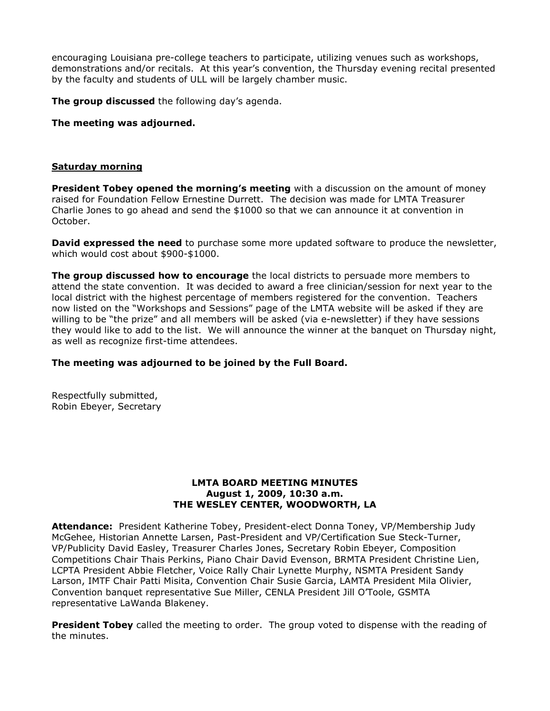encouraging Louisiana pre-college teachers to participate, utilizing venues such as workshops, demonstrations and/or recitals. At this year's convention, the Thursday evening recital presented by the faculty and students of ULL will be largely chamber music.

The group discussed the following day's agenda.

The meeting was adjourned.

## Saturday morning

President Tobey opened the morning's meeting with a discussion on the amount of money raised for Foundation Fellow Ernestine Durrett. The decision was made for LMTA Treasurer Charlie Jones to go ahead and send the \$1000 so that we can announce it at convention in October.

**David expressed the need** to purchase some more updated software to produce the newsletter, which would cost about \$900-\$1000.

The group discussed how to encourage the local districts to persuade more members to attend the state convention. It was decided to award a free clinician/session for next year to the local district with the highest percentage of members registered for the convention. Teachers now listed on the "Workshops and Sessions" page of the LMTA website will be asked if they are willing to be "the prize" and all members will be asked (via e-newsletter) if they have sessions they would like to add to the list. We will announce the winner at the banquet on Thursday night, as well as recognize first-time attendees.

## The meeting was adjourned to be joined by the Full Board.

Respectfully submitted, Robin Ebeyer, Secretary

## LMTA BOARD MEETING MINUTES August 1, 2009, 10:30 a.m. THE WESLEY CENTER, WOODWORTH, LA

Attendance: President Katherine Tobey, President-elect Donna Toney, VP/Membership Judy McGehee, Historian Annette Larsen, Past-President and VP/Certification Sue Steck-Turner, VP/Publicity David Easley, Treasurer Charles Jones, Secretary Robin Ebeyer, Composition Competitions Chair Thais Perkins, Piano Chair David Evenson, BRMTA President Christine Lien, LCPTA President Abbie Fletcher, Voice Rally Chair Lynette Murphy, NSMTA President Sandy Larson, IMTF Chair Patti Misita, Convention Chair Susie Garcia, LAMTA President Mila Olivier, Convention banquet representative Sue Miller, CENLA President Jill O'Toole, GSMTA representative LaWanda Blakeney.

**President Tobey** called the meeting to order. The group voted to dispense with the reading of the minutes.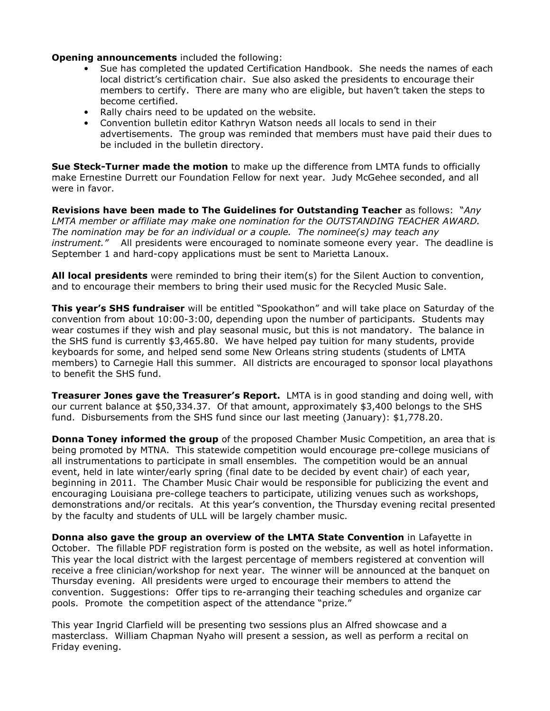Opening announcements included the following:

- Sue has completed the updated Certification Handbook. She needs the names of each local district's certification chair. Sue also asked the presidents to encourage their members to certify. There are many who are eligible, but haven't taken the steps to become certified.
- Rally chairs need to be updated on the website.
- Convention bulletin editor Kathryn Watson needs all locals to send in their advertisements. The group was reminded that members must have paid their dues to be included in the bulletin directory.

Sue Steck-Turner made the motion to make up the difference from LMTA funds to officially make Ernestine Durrett our Foundation Fellow for next year. Judy McGehee seconded, and all were in favor.

Revisions have been made to The Guidelines for Outstanding Teacher as follows: "Any LMTA member or affiliate may make one nomination for the OUTSTANDING TEACHER AWARD. The nomination may be for an individual or a couple. The nominee(s) may teach any instrument." All presidents were encouraged to nominate someone every year. The deadline is September 1 and hard-copy applications must be sent to Marietta Lanoux.

All local presidents were reminded to bring their item(s) for the Silent Auction to convention, and to encourage their members to bring their used music for the Recycled Music Sale.

**This year's SHS fundraiser** will be entitled "Spookathon" and will take place on Saturday of the convention from about 10:00-3:00, depending upon the number of participants. Students may wear costumes if they wish and play seasonal music, but this is not mandatory. The balance in the SHS fund is currently \$3,465.80. We have helped pay tuition for many students, provide keyboards for some, and helped send some New Orleans string students (students of LMTA members) to Carnegie Hall this summer. All districts are encouraged to sponsor local playathons to benefit the SHS fund.

**Treasurer Jones gave the Treasurer's Report.** LMTA is in good standing and doing well, with our current balance at \$50,334.37. Of that amount, approximately \$3,400 belongs to the SHS fund. Disbursements from the SHS fund since our last meeting (January): \$1,778.20.

**Donna Toney informed the group** of the proposed Chamber Music Competition, an area that is being promoted by MTNA. This statewide competition would encourage pre-college musicians of all instrumentations to participate in small ensembles. The competition would be an annual event, held in late winter/early spring (final date to be decided by event chair) of each year, beginning in 2011. The Chamber Music Chair would be responsible for publicizing the event and encouraging Louisiana pre-college teachers to participate, utilizing venues such as workshops, demonstrations and/or recitals. At this year's convention, the Thursday evening recital presented by the faculty and students of ULL will be largely chamber music.

Donna also gave the group an overview of the LMTA State Convention in Lafayette in October. The fillable PDF registration form is posted on the website, as well as hotel information. This year the local district with the largest percentage of members registered at convention will receive a free clinician/workshop for next year. The winner will be announced at the banquet on Thursday evening. All presidents were urged to encourage their members to attend the convention. Suggestions: Offer tips to re-arranging their teaching schedules and organize car pools. Promote the competition aspect of the attendance "prize."

This year Ingrid Clarfield will be presenting two sessions plus an Alfred showcase and a masterclass. William Chapman Nyaho will present a session, as well as perform a recital on Friday evening.